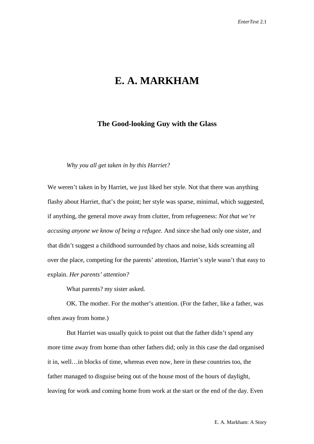## **E. A. MARKHAM**

## **The Good-looking Guy with the Glass**

*Why you all get taken in by this Harriet?*

We weren't taken in by Harriet, we just liked her style. Not that there was anything flashy about Harriet, that's the point; her style was sparse, minimal, which suggested, if anything, the general move away from clutter, from refugeeness: *Not that we're accusing anyone we know of being a refugee.* And since she had only one sister, and that didn't suggest a childhood surrounded by chaos and noise, kids screaming all over the place, competing for the parents' attention, Harriet's style wasn't that easy to explain. *Her parents' attention?*

What parents? my sister asked.

OK. The mother. For the mother's attention. (For the father, like a father, was often away from home.)

But Harriet was usually quick to point out that the father didn't spend any more time away from home than other fathers did; only in this case the dad organised it in, well…in blocks of time, whereas even now, here in these countries too, the father managed to disguise being out of the house most of the hours of daylight, leaving for work and coming home from work at the start or the end of the day. Even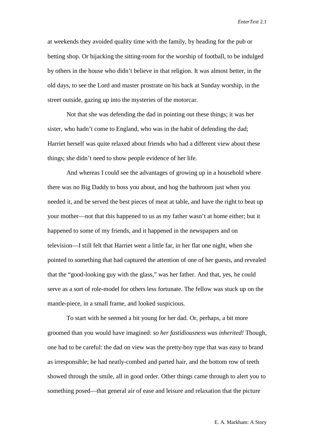at weekends they avoided quality time with the family, by heading for the pub or betting shop. Or hijacking the sitting-room for the worship of football, to be indulged by others in the house who didn't believe in that religion. It was almost better, in the old days, to see the Lord and master prostrate on his back at Sunday worship, in the street outside, gazing up into the mysteries of the motorcar.

Not that she was defending the dad in pointing out these things; it was her sister, who hadn't come to England, who was in the habit of defending the dad; Harriet herself was quite relaxed about friends who had a different view about these things; she didn't need to show people evidence of her life.

And whereas I could see the advantages of growing up in a household where there was no Big Daddy to boss you about, and hog the bathroom just when you needed it, and be served the best pieces of meat at table, and have the right to beat up your mother—not that this happened to us as my father wasn't at home either; but it happened to some of my friends, and it happened in the newspapers and on television—I still felt that Harriet went a little far, in her flat one night, when she pointed to something that had captured the attention of one of her guests, and revealed that the "good-looking guy with the glass," was her father. And that, yes, he could serve as a sort of role-model for others less fortunate. The fellow was stuck up on the mantle-piece, in a small frame, and looked suspicious.

To start with he seemed a bit young for her dad. Or, perhaps, a bit more groomed than you would have imagined: *so her fastidiousness was inherited!* Though, one had to be careful: the dad on view was the pretty-boy type that was easy to brand as irresponsible; he had neatly-combed and parted hair, and the bottom row of teeth showed through the smile, all in good order. Other things came through to alert you to something posed—that general air of ease and leisure and relaxation that the picture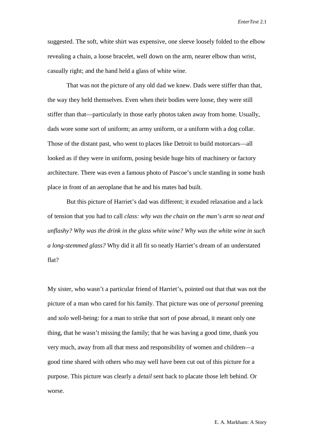suggested. The soft, white shirt was expensive, one sleeve loosely folded to the elbow revealing a chain, a loose bracelet, well down on the arm, nearer elbow than wrist, casually right; and the hand held a glass of white wine.

That was not the picture of any old dad we knew. Dads were stiffer than that, the way they held themselves. Even when their bodies were loose, they were still stiffer than that—particularly in those early photos taken away from home. Usually, dads wore some sort of uniform; an army uniform, or a uniform with a dog collar. Those of the distant past, who went to places like Detroit to build motorcars—all looked as if they were in uniform, posing beside huge bits of machinery or factory architecture. There was even a famous photo of Pascoe's uncle standing in some hush place in front of an aeroplane that he and his mates had built.

But this picture of Harriet's dad was different; it exuded relaxation and a lack of tension that you had to call *class: why was the chain on the man's arm so neat and unflashy? Why was the drink in the glass white wine? Why was the white wine in such a long-stemmed glass?* Why did it all fit so neatly Harriet's dream of an understated flat?

My sister, who wasn't a particular friend of Harriet's, pointed out that that was not the picture of a man who cared for his family. That picture was one of *personal* preening and *solo* well-being: for a man to strike that sort of pose abroad, it meant only one thing, that he wasn't missing the family; that he was having a good time, thank you very much, away from all that mess and responsibility of women and children—a good time shared with others who may well have been cut out of this picture for a purpose. This picture was clearly a *detail* sent back to placate those left behind. Or worse.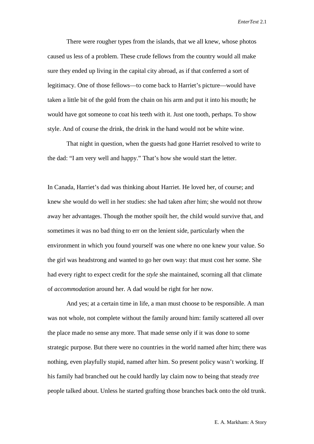There were rougher types from the islands, that we all knew, whose photos caused us less of a problem. These crude fellows from the country would all make sure they ended up living in the capital city abroad, as if that conferred a sort of legitimacy. One of those fellows—to come back to Harriet's picture—would have taken a little bit of the gold from the chain on his arm and put it into his mouth; he would have got someone to coat his teeth with it. Just one tooth, perhaps. To show style. And of course the drink, the drink in the hand would not be white wine.

That night in question, when the guests had gone Harriet resolved to write to the dad: "I am very well and happy." That's how she would start the letter.

In Canada, Harriet's dad was thinking about Harriet. He loved her, of course; and knew she would do well in her studies: she had taken after him; she would not throw away her advantages. Though the mother spoilt her, the child would survive that, and sometimes it was no bad thing to err on the lenient side, particularly when the environment in which you found yourself was one where no one knew your value. So the girl was headstrong and wanted to go her own way: that must cost her some. She had every right to expect credit for the *style* she maintained, scorning all that climate of *accommodation* around her. A dad would be right for her now.

And yes; at a certain time in life, a man must choose to be responsible. A man was not whole, not complete without the family around him: family scattered all over the place made no sense any more. That made sense only if it was done to some strategic purpose. But there were no countries in the world named after him; there was nothing, even playfully stupid, named after him. So present policy wasn't working. If his family had branched out he could hardly lay claim now to being that steady *tree* people talked about. Unless he started grafting those branches back onto the old trunk.